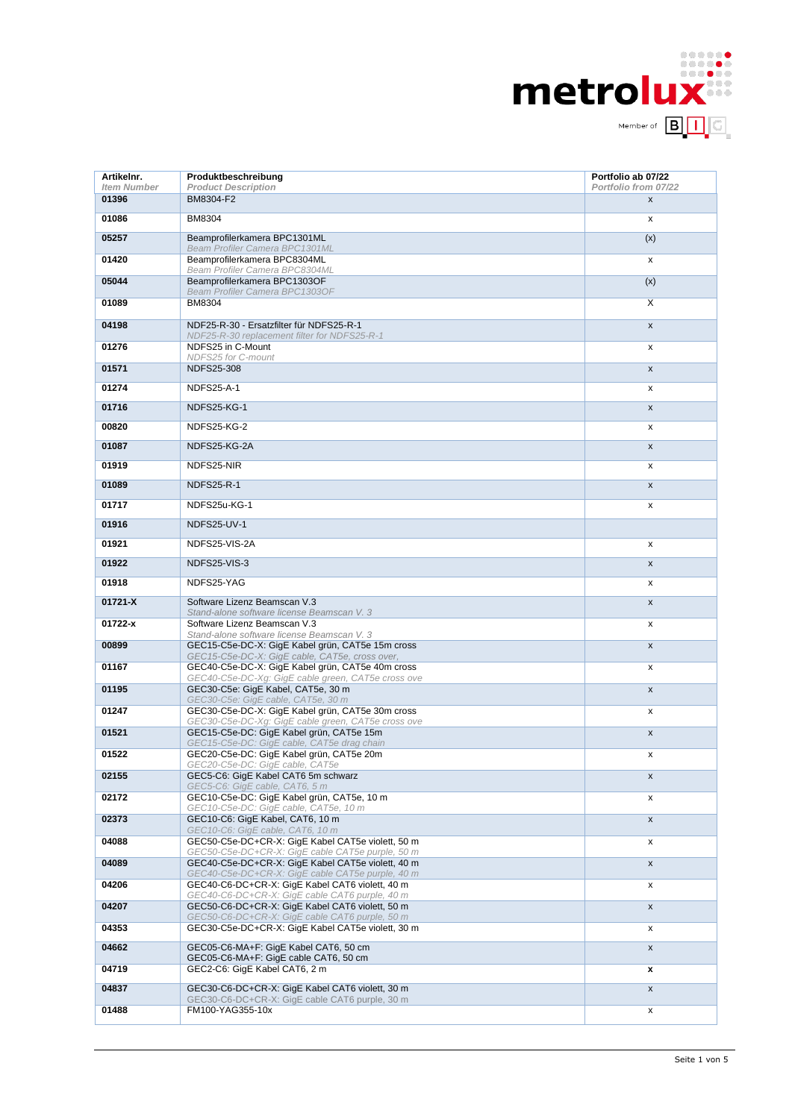

| Artikelnr.<br><b>Item Number</b> | Produktbeschreibung                                                                                    | Portfolio ab 07/22<br>Portfolio from 07/22 |
|----------------------------------|--------------------------------------------------------------------------------------------------------|--------------------------------------------|
| 01396                            | <b>Product Description</b><br>BM8304-F2                                                                | X                                          |
| 01086                            | <b>BM8304</b>                                                                                          | x                                          |
| 05257                            | Beamprofilerkamera BPC1301ML                                                                           | (x)                                        |
| 01420                            | <b>Beam Profiler Camera BPC1301ML</b><br>Beamprofilerkamera BPC8304ML                                  | x                                          |
| 05044                            | Beam Profiler Camera BPC8304ML<br>Beamprofilerkamera BPC1303OF                                         | (x)                                        |
| 01089                            | Beam Profiler Camera BPC13030F<br><b>BM8304</b>                                                        | X                                          |
| 04198                            | NDF25-R-30 - Ersatzfilter für NDFS25-R-1                                                               | X                                          |
| 01276                            | NDF25-R-30 replacement filter for NDFS25-R-1<br>NDFS25 in C-Mount<br>NDFS25 for C-mount                | x                                          |
| 01571                            | <b>NDFS25-308</b>                                                                                      | $\mathsf{x}$                               |
| 01274                            | <b>NDFS25-A-1</b>                                                                                      | x                                          |
| 01716                            | NDFS25-KG-1                                                                                            | $\mathsf{x}$                               |
| 00820                            | NDFS25-KG-2                                                                                            | x                                          |
| 01087                            | NDFS25-KG-2A                                                                                           | $\mathsf{x}$                               |
| 01919                            | NDFS25-NIR                                                                                             | x                                          |
| 01089                            | <b>NDFS25-R-1</b>                                                                                      | X                                          |
| 01717                            | NDFS25u-KG-1                                                                                           | x                                          |
| 01916                            | NDFS25-UV-1                                                                                            |                                            |
| 01921                            | NDFS25-VIS-2A                                                                                          | x                                          |
| 01922                            | NDFS25-VIS-3                                                                                           | X                                          |
| 01918                            | NDFS25-YAG                                                                                             | x                                          |
| 01721-X                          | Software Lizenz Beamscan V.3<br>Stand-alone software license Beamscan V. 3                             | X                                          |
| 01722-x                          | Software Lizenz Beamscan V.3<br>Stand-alone software license Beamscan V. 3                             | x                                          |
| 00899                            | GEC15-C5e-DC-X: GigE Kabel grün, CAT5e 15m cross<br>GEC15-C5e-DC-X: GigE cable, CAT5e, cross over,     | $\mathsf{x}$                               |
| 01167                            | GEC40-C5e-DC-X: GigE Kabel grün, CAT5e 40m cross<br>GEC40-C5e-DC-Xg: GigE cable green, CAT5e cross ove | x                                          |
| 01195                            | GEC30-C5e: GigE Kabel, CAT5e, 30 m<br>GEC30-C5e: GigE cable, CAT5e, 30 m                               | X                                          |
| 01247                            | GEC30-C5e-DC-X: GigE Kabel grün, CAT5e 30m cross<br>GEC30-C5e-DC-Xg: GigE cable green, CAT5e cross ove | x                                          |
| 01521                            | GEC15-C5e-DC: GigE Kabel grün, CAT5e 15m<br>GEC15-C5e-DC: GigE cable, CAT5e drag chain                 | X                                          |
| 01522                            | GEC20-C5e-DC: GigE Kabel grün, CAT5e 20m<br>GEC20-C5e-DC: GigE cable, CAT5e                            | x                                          |
| 02155                            | GEC5-C6: GigE Kabel CAT6 5m schwarz<br>GEC5-C6: GigE cable, CAT6, 5 m                                  | $\pmb{\mathsf{x}}$                         |
| 02172                            | GEC10-C5e-DC: GigE Kabel grün, CAT5e, 10 m<br>GEC10-C5e-DC: GigE cable, CAT5e, 10 m                    | x                                          |
| 02373                            | GEC10-C6: GigE Kabel, CAT6, 10 m<br>GEC10-C6: GigE cable, CAT6, 10 m                                   | X                                          |
| 04088                            | GEC50-C5e-DC+CR-X: GigE Kabel CAT5e violett, 50 m<br>GEC50-C5e-DC+CR-X: GigE cable CAT5e purple, 50 m  | x                                          |
| 04089                            | GEC40-C5e-DC+CR-X: GigE Kabel CAT5e violett, 40 m<br>GEC40-C5e-DC+CR-X: GigE cable CAT5e purple, 40 m  | X                                          |
| 04206                            | GEC40-C6-DC+CR-X: GigE Kabel CAT6 violett, 40 m<br>GEC40-C6-DC+CR-X: GigE cable CAT6 purple, 40 m      | x                                          |
| 04207                            | GEC50-C6-DC+CR-X: GigE Kabel CAT6 violett, 50 m<br>GEC50-C6-DC+CR-X: GigE cable CAT6 purple, 50 m      | X                                          |
| 04353                            | GEC30-C5e-DC+CR-X: GigE Kabel CAT5e violett, 30 m                                                      | x                                          |
| 04662                            | GEC05-C6-MA+F: GigE Kabel CAT6, 50 cm<br>GEC05-C6-MA+F: GigE cable CAT6, 50 cm                         | X                                          |
| 04719                            | GEC2-C6: GigE Kabel CAT6, 2 m                                                                          | x                                          |
| 04837                            | GEC30-C6-DC+CR-X: GigE Kabel CAT6 violett, 30 m<br>GEC30-C6-DC+CR-X: GigE cable CAT6 purple, 30 m      | X                                          |
| 01488                            | FM100-YAG355-10x                                                                                       | x                                          |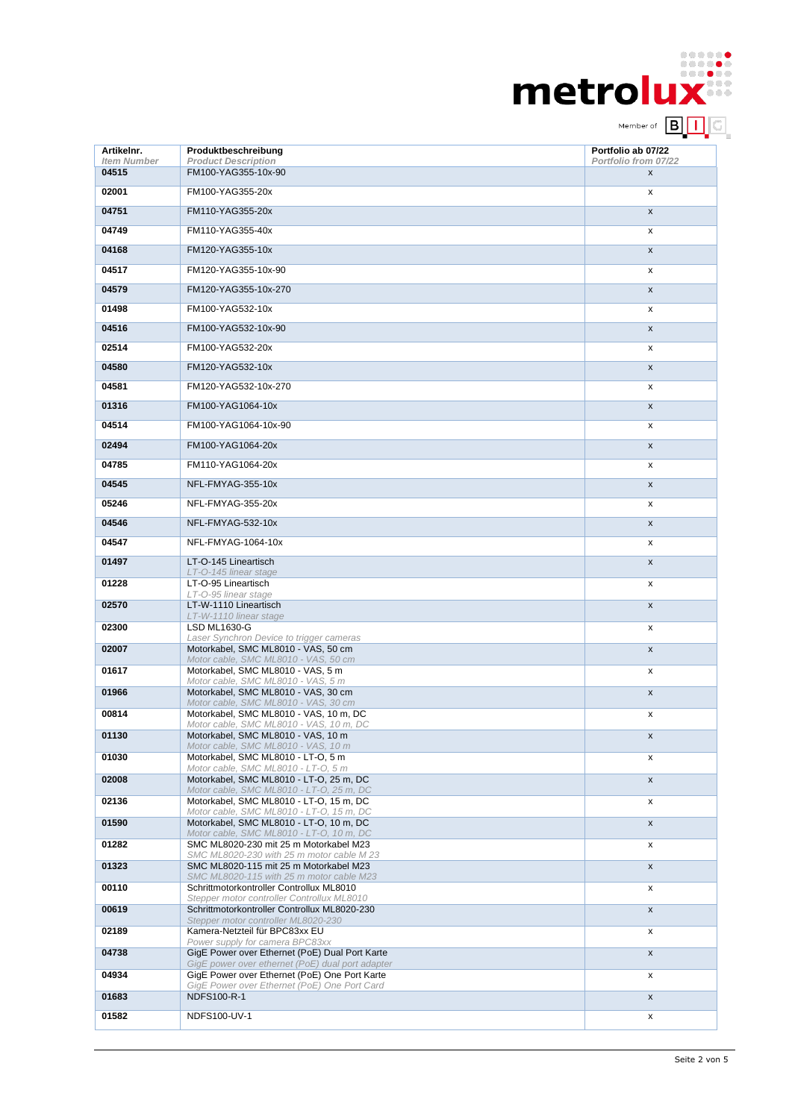| <b>metrolux</b> |                          |  | . |
|-----------------|--------------------------|--|---|
|                 | Member of <b>B</b>     G |  |   |

| Artikelnr.                  | Produktbeschreibung                                                                               | Portfolio ab 07/22        |
|-----------------------------|---------------------------------------------------------------------------------------------------|---------------------------|
| <b>Item Number</b><br>04515 | <b>Product Description</b><br>FM100-YAG355-10x-90                                                 | Portfolio from 07/22<br>X |
| 02001                       | FM100-YAG355-20x                                                                                  | x                         |
| 04751                       | FM110-YAG355-20x                                                                                  | X                         |
| 04749                       | FM110-YAG355-40x                                                                                  | x                         |
| 04168                       | FM120-YAG355-10x                                                                                  | X                         |
| 04517                       | FM120-YAG355-10x-90                                                                               | x                         |
| 04579                       | FM120-YAG355-10x-270                                                                              | X                         |
| 01498                       | FM100-YAG532-10x                                                                                  | x                         |
| 04516                       | FM100-YAG532-10x-90                                                                               | X                         |
| 02514                       | FM100-YAG532-20x                                                                                  | x                         |
| 04580                       | FM120-YAG532-10x                                                                                  | X                         |
| 04581                       | FM120-YAG532-10x-270                                                                              | x                         |
| 01316                       | FM100-YAG1064-10x                                                                                 | X                         |
| 04514                       | FM100-YAG1064-10x-90                                                                              | x                         |
| 02494                       | FM100-YAG1064-20x                                                                                 | X                         |
| 04785                       | FM110-YAG1064-20x                                                                                 | x                         |
| 04545                       | NFL-FMYAG-355-10x                                                                                 | X                         |
| 05246                       | NFL-FMYAG-355-20x                                                                                 | x                         |
| 04546                       | NFL-FMYAG-532-10x                                                                                 | X                         |
| 04547                       | NFL-FMYAG-1064-10x                                                                                | x                         |
| 01497                       | LT-O-145 Lineartisch<br>LT-O-145 linear stage                                                     | X                         |
| 01228                       | LT-O-95 Lineartisch<br>LT-O-95 linear stage                                                       | x                         |
| 02570                       | LT-W-1110 Lineartisch<br>LT-W-1110 linear stage                                                   | x                         |
| 02300                       | <b>LSD ML1630-G</b>                                                                               | x                         |
| 02007                       | Laser Synchron Device to trigger cameras<br>Motorkabel, SMC ML8010 - VAS, 50 cm                   | X                         |
| 01617                       | Motor cable, SMC ML8010 - VAS, 50 cm<br>Motorkabel, SMC ML8010 - VAS, 5 m                         | x                         |
| 01966                       | Motor cable, SMC ML8010 - VAS, 5 m<br>Motorkabel, SMC ML8010 - VAS, 30 cm                         | X                         |
| 00814                       | Motor cable, SMC ML8010 - VAS, 30 cm<br>Motorkabel, SMC ML8010 - VAS, 10 m, DC                    | x                         |
| 01130                       | Motor cable, SMC ML8010 - VAS, 10 m, DC<br>Motorkabel, SMC ML8010 - VAS, 10 m                     | x                         |
| 01030                       | Motor cable, SMC ML8010 - VAS, 10 m<br>Motorkabel, SMC ML8010 - LT-O, 5 m                         | x                         |
| 02008                       | Motor cable, SMC ML8010 - LT-O, 5 m<br>Motorkabel, SMC ML8010 - LT-O, 25 m, DC                    | x                         |
| 02136                       | Motor cable, SMC ML8010 - LT-O, 25 m, DC<br>Motorkabel, SMC ML8010 - LT-O, 15 m, DC               |                           |
|                             | Motor cable, SMC ML8010 - LT-O, 15 m, DC                                                          | x                         |
| 01590                       | Motorkabel, SMC ML8010 - LT-O, 10 m, DC<br>Motor cable, SMC ML8010 - LT-O, 10 m, DC               | X                         |
| 01282                       | SMC ML8020-230 mit 25 m Motorkabel M23<br>SMC ML8020-230 with 25 m motor cable M 23               | x                         |
| 01323                       | SMC ML8020-115 mit 25 m Motorkabel M23<br>SMC ML8020-115 with 25 m motor cable M23                | x                         |
| 00110                       | Schrittmotorkontroller Controllux ML8010<br>Stepper motor controller Controllux ML8010            | x                         |
| 00619                       | Schrittmotorkontroller Controllux ML8020-230<br>Stepper motor controller ML8020-230               | X                         |
| 02189                       | Kamera-Netzteil für BPC83xx EU<br>Power supply for camera BPC83xx                                 | x                         |
| 04738                       | GigE Power over Ethernet (PoE) Dual Port Karte                                                    | x                         |
| 04934                       | GigE power over ethernet (PoE) dual port adapter<br>GigE Power over Ethernet (PoE) One Port Karte | x                         |
| 01683                       | GigE Power over Ethernet (PoE) One Port Card<br>NDFS100-R-1                                       | x                         |
| 01582                       | NDFS100-UV-1                                                                                      | x                         |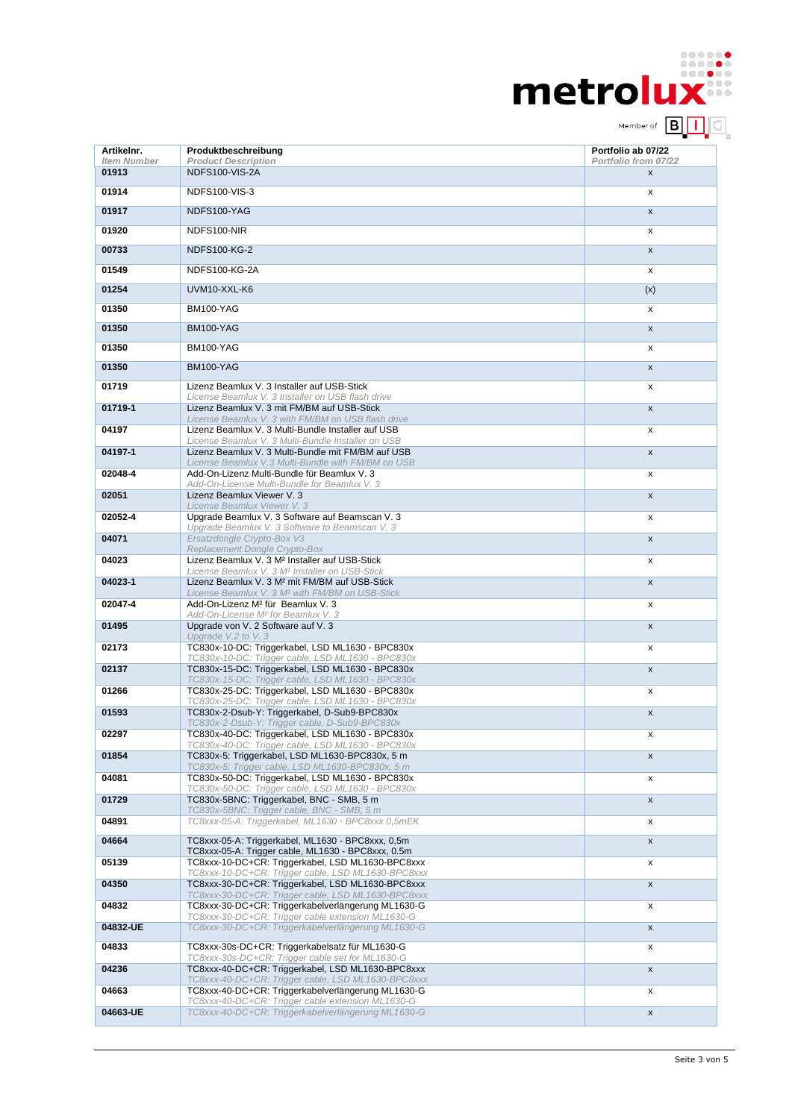| <b>metrolux</b> |                          |  | . |
|-----------------|--------------------------|--|---|
|                 | Member of <b>B</b>     G |  |   |

| Artikelnr.                  | Produktbeschreibung                                                                                                                                         | Portfolio ab 07/22                         |
|-----------------------------|-------------------------------------------------------------------------------------------------------------------------------------------------------------|--------------------------------------------|
| <b>Item Number</b><br>01913 | <b>Product Description</b><br>NDFS100-VIS-2A                                                                                                                | Portfolio from 07/22<br>$\pmb{\mathsf{X}}$ |
| 01914                       | <b>NDFS100-VIS-3</b>                                                                                                                                        | X                                          |
| 01917                       | NDFS100-YAG                                                                                                                                                 | $\mathsf{x}$                               |
| 01920                       | NDFS100-NIR                                                                                                                                                 | x                                          |
| 00733                       | <b>NDFS100-KG-2</b>                                                                                                                                         | $\mathsf{x}$                               |
| 01549                       | <b>NDFS100-KG-2A</b>                                                                                                                                        | x                                          |
| 01254                       | UVM10-XXL-K6                                                                                                                                                | (x)                                        |
| 01350                       | BM100-YAG                                                                                                                                                   | x                                          |
| 01350                       | BM100-YAG                                                                                                                                                   | $\mathsf{x}$                               |
| 01350                       | BM100-YAG                                                                                                                                                   | x                                          |
| 01350                       | BM100-YAG                                                                                                                                                   | X                                          |
| 01719                       | Lizenz Beamlux V. 3 Installer auf USB-Stick<br>License Beamlux V. 3 Installer on USB flash drive                                                            | x                                          |
| 01719-1                     | Lizenz Beamlux V. 3 mit FM/BM auf USB-Stick<br>License Beamlux V. 3 with FM/BM on USB flash drive                                                           | $\mathsf{x}$                               |
| 04197                       | Lizenz Beamlux V. 3 Multi-Bundle Installer auf USB<br>License Beamlux V. 3 Multi-Bundle Installer on USB                                                    | x                                          |
| 04197-1                     | Lizenz Beamlux V. 3 Multi-Bundle mit FM/BM auf USB<br>License Beamlux V.3 Multi-Bundle with FM/BM on USB                                                    | $\mathsf{x}$                               |
| 02048-4                     | Add-On-Lizenz Multi-Bundle für Beamlux V. 3<br>Add-On-License Multi-Bundle for Beamlux V. 3                                                                 | X                                          |
| 02051                       | Lizenz Beamlux Viewer V. 3<br>License Beamlux Viewer V. 3                                                                                                   | $\mathsf{x}$                               |
| 02052-4                     | Upgrade Beamlux V. 3 Software auf Beamscan V. 3<br>Upgrade Beamlux V. 3 Software to Beamscan V. 3                                                           | x                                          |
| 04071                       | Ersatzdongle Crypto-Box V3<br>Replacement Dongle Crypto-Box                                                                                                 | $\pmb{\mathsf{X}}$                         |
| 04023                       | Lizenz Beamlux V. 3 M <sup>2</sup> Installer auf USB-Stick<br>License Beamlux V. 3 M <sup>2</sup> Installer on USB-Stick                                    | x                                          |
| 04023-1                     | Lizenz Beamlux V. 3 M <sup>2</sup> mit FM/BM auf USB-Stick<br>License Beamlux V. 3 M <sup>2</sup> with FM/BM on USB-Stick                                   | $\mathsf{x}$                               |
| 02047-4                     | Add-On-Lizenz M <sup>2</sup> für Beamlux V. 3<br>Add-On-License M <sup>2</sup> for Beamlux V. 3                                                             | x                                          |
| 01495                       | Upgrade von V. 2 Software auf V. 3<br>Upgrade V.2 to V.3                                                                                                    | $\pmb{\mathsf{X}}$                         |
| 02173                       | TC830x-10-DC: Triggerkabel, LSD ML1630 - BPC830x<br>TC830x-10-DC: Trigger cable, LSD ML1630 - BPC830x                                                       | x                                          |
| 02137                       | TC830x-15-DC: Triggerkabel, LSD ML1630 - BPC830x<br>TC830x-15-DC: Trigger cable, LSD ML1630 - BPC830x                                                       | $\mathsf{x}$                               |
| 01266                       | TC830x-25-DC: Triggerkabel, LSD ML1630 - BPC830x<br>TC830x-25-DC: Trigger cable, LSD ML1630 - BPC830x                                                       | x                                          |
| 01593                       | TC830x-2-Dsub-Y: Triggerkabel, D-Sub9-BPC830x                                                                                                               | X                                          |
| 02297                       | TC830x-2-Dsub-Y: Trigger cable, D-Sub9-BPC830x<br>TC830x-40-DC: Triggerkabel, LSD ML1630 - BPC830x                                                          | x                                          |
| 01854                       | TC830x-40-DC: Trigger cable, LSD ML1630 - BPC830x<br>TC830x-5: Triggerkabel, LSD ML1630-BPC830x, 5 m                                                        | x                                          |
| 04081                       | TC830x-5: Trigger cable, LSD ML1630-BPC830x, 5 m<br>TC830x-50-DC: Triggerkabel, LSD ML1630 - BPC830x                                                        | x                                          |
| 01729                       | TC830x-50-DC: Trigger cable, LSD ML1630 - BPC830x<br>TC830x-5BNC: Triggerkabel, BNC - SMB, 5 m                                                              | X                                          |
| 04891                       | TC830x-5BNC: Trigger cable, BNC - SMB, 5 m<br>TC8xxx-05-A: Triggerkabel, ML1630 - BPC8xxx 0,5mEK                                                            | x                                          |
| 04664                       | TC8xxx-05-A: Triggerkabel, ML1630 - BPC8xxx, 0,5m                                                                                                           | x                                          |
| 05139                       | TC8xxx-05-A: Trigger cable, ML1630 - BPC8xxx, 0.5m<br>TC8xxx-10-DC+CR: Triggerkabel, LSD ML1630-BPC8xxx                                                     | x                                          |
| 04350                       | TC8xxx-10-DC+CR: Trigger cable, LSD ML1630-BPC8xxx<br>TC8xxx-30-DC+CR: Triggerkabel, LSD ML1630-BPC8xxx                                                     | x                                          |
| 04832                       | TC8xxx-30-DC+CR: Trigger cable, LSD ML1630-BPC8xxx<br>TC8xxx-30-DC+CR: Triggerkabelverlängerung ML1630-G                                                    | x                                          |
| 04832-UE                    | TC8xxx-30-DC+CR: Trigger cable extension ML1630-G<br>TC8xxx-30-DC+CR: Triggerkabelverlängerung ML1630-G                                                     | x                                          |
| 04833                       | TC8xxx-30s-DC+CR: Triggerkabelsatz für ML1630-G                                                                                                             | x                                          |
| 04236                       | TC8xxx-30s-DC+CR: Trigger cable set for ML1630-G<br>TC8xxx-40-DC+CR: Triggerkabel, LSD ML1630-BPC8xxx<br>TC8xxx-40-DC+CR: Trigger cable, LSD ML1630-BPC8xxx | x                                          |
| 04663                       | TC8xxx-40-DC+CR: Triggerkabelverlängerung ML1630-G<br>TC8xxx-40-DC+CR: Trigger cable extension ML1630-G                                                     | x                                          |
| 04663-UE                    | TC8xxx-40-DC+CR: Triggerkabelverlängerung ML1630-G                                                                                                          | X                                          |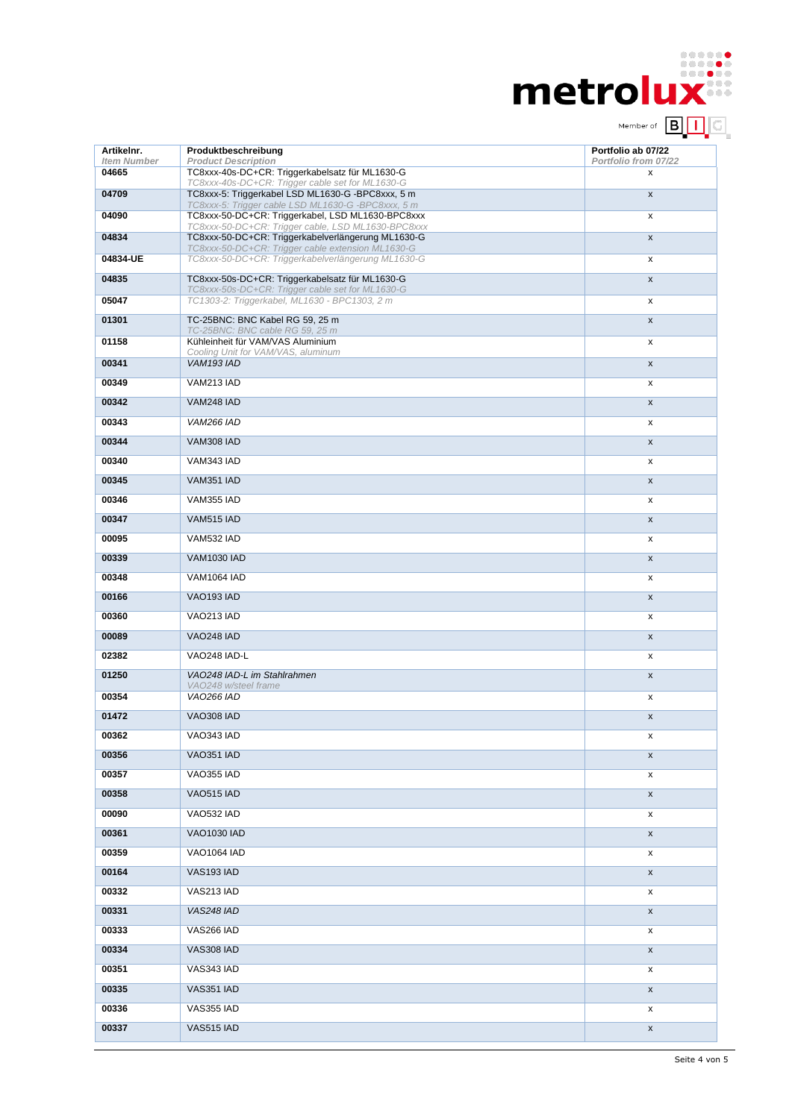| metrolux |                          |  | . |
|----------|--------------------------|--|---|
|          | Member of <b>B</b>     G |  |   |

| Artikelnr.                  | Produktbeschreibung                                                                                      | Portfolio ab 07/22        |
|-----------------------------|----------------------------------------------------------------------------------------------------------|---------------------------|
| <b>Item Number</b><br>04665 | <b>Product Description</b><br>TC8xxx-40s-DC+CR: Triggerkabelsatz für ML1630-G                            | Portfolio from 07/22<br>x |
| 04709                       | TC8xxx-40s-DC+CR: Trigger cable set for ML1630-G<br>TC8xxx-5: Triggerkabel LSD ML1630-G -BPC8xxx, 5 m    | $\pmb{\mathsf{X}}$        |
| 04090                       | TC8xxx-5: Trigger cable LSD ML1630-G -BPC8xxx, 5 m<br>TC8xxx-50-DC+CR: Triggerkabel, LSD ML1630-BPC8xxx  | x                         |
| 04834                       | TC8xxx-50-DC+CR: Trigger cable, LSD ML1630-BPC8xxx<br>TC8xxx-50-DC+CR: Triggerkabelverlängerung ML1630-G | $\pmb{\mathsf{X}}$        |
| 04834-UE                    | TC8xxx-50-DC+CR: Trigger cable extension ML1630-G<br>TC8xxx-50-DC+CR: Triggerkabelverlängerung ML1630-G  | X                         |
| 04835                       | TC8xxx-50s-DC+CR: Triggerkabelsatz für ML1630-G                                                          | $\pmb{\mathsf{X}}$        |
| 05047                       | TC8xxx-50s-DC+CR: Trigger cable set for ML1630-G<br>TC1303-2: Triggerkabel, ML1630 - BPC1303, 2 m        | x                         |
| 01301                       | TC-25BNC: BNC Kabel RG 59, 25 m                                                                          | $\mathsf{x}$              |
| 01158                       | TC-25BNC: BNC cable RG 59, 25 m<br>Kühleinheit für VAM/VAS Aluminium                                     | x                         |
| 00341                       | Cooling Unit for VAM/VAS, aluminum<br>VAM193 IAD                                                         | $\mathsf{x}$              |
| 00349                       | VAM213 IAD                                                                                               | x                         |
| 00342                       | <b>VAM248 IAD</b>                                                                                        | X                         |
| 00343                       | <b>VAM266 IAD</b>                                                                                        | x                         |
| 00344                       | VAM308 IAD                                                                                               | $\boldsymbol{\mathsf{x}}$ |
| 00340                       | VAM343 IAD                                                                                               | x                         |
| 00345                       | VAM351 IAD                                                                                               | $\pmb{\mathsf{X}}$        |
| 00346                       | VAM355 IAD                                                                                               | x                         |
| 00347                       | VAM515 IAD                                                                                               | $\mathsf{x}$              |
| 00095                       | VAM532 IAD                                                                                               | x                         |
| 00339                       | <b>VAM1030 IAD</b>                                                                                       | $\pmb{\chi}$              |
| 00348                       | <b>VAM1064 IAD</b>                                                                                       | x                         |
| 00166                       | VAO193 IAD                                                                                               | $\mathsf{x}$              |
| 00360                       | VAO213 IAD                                                                                               | X                         |
| 00089                       | <b>VAO248 IAD</b>                                                                                        | $\pmb{\mathsf{X}}$        |
| 02382                       | VAO248 IAD-L                                                                                             | x                         |
| 01250                       | VA0248 IAD-L im Stahlrahmen                                                                              | X                         |
| 00354                       | VA0248 w/steel frame<br><b>VAO266 IAD</b>                                                                | x                         |
| 01472                       | <b>VAO308 IAD</b>                                                                                        | $\pmb{\mathsf{x}}$        |
| 00362                       | VAO343 IAD                                                                                               | х                         |
| 00356                       | VAO351 IAD                                                                                               | X                         |
| 00357                       | VAO355 IAD                                                                                               | x                         |
| 00358                       | VAO515 IAD                                                                                               | X                         |
| 00090                       | VAO532 IAD                                                                                               | x                         |
| 00361                       | <b>VAO1030 IAD</b>                                                                                       | X                         |
| 00359                       | <b>VAO1064 IAD</b>                                                                                       | x                         |
| 00164                       | VAS193 IAD                                                                                               | X                         |
| 00332                       | VAS213 IAD                                                                                               | x                         |
| 00331                       | VAS248 IAD                                                                                               | X                         |
| 00333                       | VAS266 IAD                                                                                               | x                         |
| 00334                       | VAS308 IAD                                                                                               | X                         |
| 00351                       | VAS343 IAD                                                                                               | x                         |
| 00335                       | VAS351 IAD                                                                                               | X                         |
| 00336                       | VAS355 IAD                                                                                               | x                         |
| 00337                       | VAS515 IAD                                                                                               | X                         |